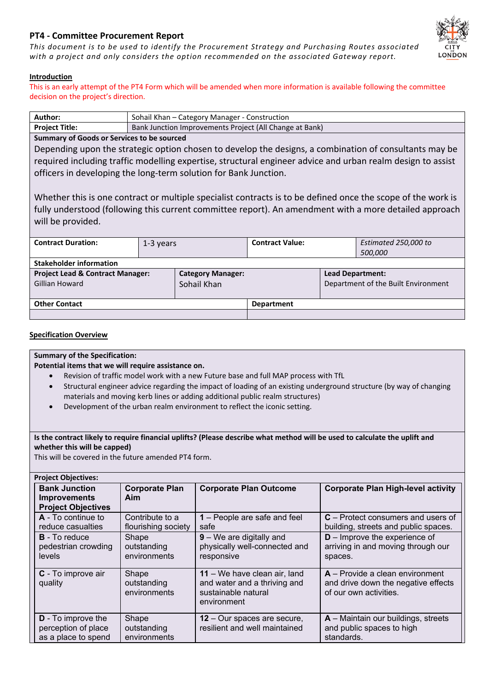# **PT4 - Committee Procurement Report**

*This document is to be used to identify the Procurement Strategy and Purchasing Routes associated with a project and only considers the option recommended on the associated Gateway report.*



# **Introduction**

This is an early attempt of the PT4 Form which will be amended when more information is available following the committee decision on the project's direction.

| <b>Author:</b>                                                                         | Sohail Khan – Category Manager - Construction |  |
|----------------------------------------------------------------------------------------|-----------------------------------------------|--|
| Project Title:<br>Bank Junction Improvements Project (All Change at Bank)              |                                               |  |
| $\blacksquare$ . Consequence of $\bigcirc$ and a subsequent sequence of $\blacksquare$ |                                               |  |

# **Summary of Goods or Services to be sourced**

Depending upon the strategic option chosen to develop the designs, a combination of consultants may be required including traffic modelling expertise, structural engineer advice and urban realm design to assist officers in developing the long-term solution for Bank Junction.

Whether this is one contract or multiple specialist contracts is to be defined once the scope of the work is fully understood (following this current committee report). An amendment with a more detailed approach will be provided.

| <b>Contract Duration:</b>                                     | 1-3 years |                                         | <b>Contract Value:</b> |                                                                | Estimated 250,000 to<br>500,000 |
|---------------------------------------------------------------|-----------|-----------------------------------------|------------------------|----------------------------------------------------------------|---------------------------------|
| <b>Stakeholder information</b>                                |           |                                         |                        |                                                                |                                 |
| <b>Project Lead &amp; Contract Manager:</b><br>Gillian Howard |           | <b>Category Manager:</b><br>Sohail Khan |                        | <b>Lead Department:</b><br>Department of the Built Environment |                                 |
| <b>Other Contact</b>                                          |           | <b>Department</b>                       |                        |                                                                |                                 |
|                                                               |           |                                         |                        |                                                                |                                 |

# **Specification Overview**

## **Summary of the Specification:**

**Potential items that we will require assistance on.**

- Revision of traffic model work with a new Future base and full MAP process with TfL
- Structural engineer advice regarding the impact of loading of an existing underground structure (by way of changing materials and moving kerb lines or adding additional public realm structures)
- Development of the urban realm environment to reflect the iconic setting.

# Is the contract likely to require financial uplifts? (Please describe what method will be used to calculate the uplift and **whether this will be capped)**

This will be covered in the future amended PT4 form.

| <b>Project Objectives:</b>                                               |                                        |                                                                                                    |                                                                                                    |
|--------------------------------------------------------------------------|----------------------------------------|----------------------------------------------------------------------------------------------------|----------------------------------------------------------------------------------------------------|
| <b>Bank Junction</b><br><b>Improvements</b><br><b>Project Objectives</b> | <b>Corporate Plan</b><br>Aim           | <b>Corporate Plan Outcome</b>                                                                      | <b>Corporate Plan High-level activity</b>                                                          |
| $A - To continue to$<br>reduce casualties                                | Contribute to a<br>flourishing society | 1 – People are safe and feel<br>safe                                                               | $C$ – Protect consumers and users of<br>building, streets and public spaces.                       |
| <b>B</b> - To reduce<br>pedestrian crowding<br>levels                    | Shape<br>outstanding<br>environments   | $9 - We$ are digitally and<br>physically well-connected and<br>responsive                          | $D$ – Improve the experience of<br>arriving in and moving through our<br>spaces.                   |
| C - To improve air<br>quality                                            | Shape<br>outstanding<br>environments   | 11 – We have clean air, land<br>and water and a thriving and<br>sustainable natural<br>environment | $A -$ Provide a clean environment<br>and drive down the negative effects<br>of our own activities. |
| <b>D</b> - To improve the<br>perception of place<br>as a place to spend  | Shape<br>outstanding<br>environments   | <b>12</b> – Our spaces are secure,<br>resilient and well maintained                                | $A$ – Maintain our buildings, streets<br>and public spaces to high<br>standards.                   |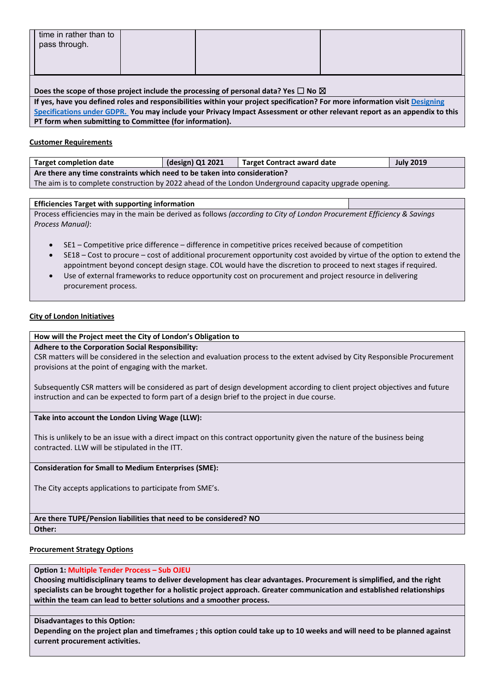| time in rather than to<br>pass through. |  |  |
|-----------------------------------------|--|--|
|                                         |  |  |

#### **Does the scope of those project include the processing of personal data? Yes ☐ No ☒**

If yes, have you defined roles and responsibilities within your project specification? For more information visit [Designing](https://corpoflondon.sharepoint.com/sites/Intranet/SitePages/BE-designing-specifications-under-gdpr.aspx) [Specifications](https://corpoflondon.sharepoint.com/sites/Intranet/SitePages/BE-designing-specifications-under-gdpr.aspx) under GDPR. You may include your Privacy Impact Assessment or other relevant report as an appendix to this **PT form when submitting to Committee (for information).** 

## **Customer Requirements**

| <b>Target completion date</b>                                                                         | (design) Q1 2021 | <b>Target Contract award date</b> | <b>July 2019</b> |  |
|-------------------------------------------------------------------------------------------------------|------------------|-----------------------------------|------------------|--|
| Are there any time constraints which need to be taken into consideration?                             |                  |                                   |                  |  |
| The aim is to complete construction by 2022 ahead of the London Underground capacity upgrade opening. |                  |                                   |                  |  |

## **Efficiencies Target with supporting information**

Process efficiencies may in the main be derived as follows *(according to City of London Procurement Efficiency & Savings Process Manual)*:

- SE1 Competitive price difference difference in competitive prices received because of competition
- SE18 Cost to procure cost of additional procurement opportunity cost avoided by virtue of the option to extend the appointment beyond concept design stage. COL would have the discretion to proceed to next stages if required.
- Use of external frameworks to reduce opportunity cost on procurement and project resource in delivering procurement process.

## **City of London Initiatives**

# **How will the Project meet the City of London's Obligation to**

**Adhere to the Corporation Social Responsibility:**

CSR matters will be considered in the selection and evaluation process to the extent advised by City Responsible Procurement provisions at the point of engaging with the market.

Subsequently CSR matters will be considered as part of design development according to client project objectives and future instruction and can be expected to form part of a design brief to the project in due course.

**Take into account the London Living Wage (LLW):**

This is unlikely to be an issue with a direct impact on this contract opportunity given the nature of the business being contracted. LLW will be stipulated in the ITT.

## **Consideration for Small to Medium Enterprises (SME):**

The City accepts applications to participate from SME's.

## **Are there TUPE/Pension liabilities that need to be considered? NO**

#### **Other:**

## **Procurement Strategy Options**

#### **Option 1: Multiple Tender Process – Sub OJEU**

**Choosing multidisciplinary teams to deliver development has clear advantages. Procurement is simplified, and the right** specialists can be brought together for a holistic project approach. Greater communication and established relationships **within the team can lead to better solutions and a smoother process.**

## **Disadvantages to this Option:**

Depending on the project plan and timeframes; this option could take up to 10 weeks and will need to be planned against **current procurement activities.**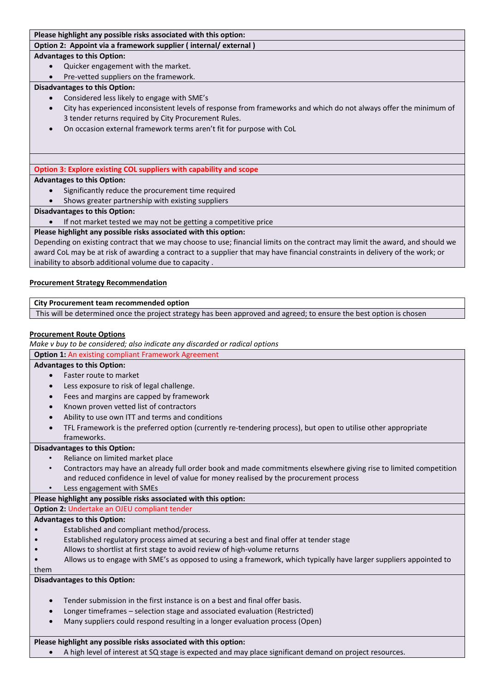# **Please highlight any possible risks associated with this option:**

**Option 2: Appoint via a framework supplier ( internal/ external )**

#### **Advantages to this Option:**

- Quicker engagement with the market.
- Pre-vetted suppliers on the framework.

## **Disadvantages to this Option:**

- Considered less likely to engage with SME's
- City has experienced inconsistent levels of response from frameworks and which do not always offer the minimum of 3 tender returns required by City Procurement Rules.
- On occasion external framework terms aren't fit for purpose with CoL

# **Option 3: Explore existing COL suppliers with capability and scope**

# **Advantages to this Option:**

- Significantly reduce the procurement time required
- Shows greater partnership with existing suppliers

# **Disadvantages to this Option:**

If not market tested we may not be getting a competitive price

# **Please highlight any possible risks associated with this option:**

Depending on existing contract that we may choose to use; financial limits on the contract may limit the award, and should we award CoL may be at risk of awarding a contract to a supplier that may have financial constraints in delivery of the work; or inability to absorb additional volume due to capacity .

## **Procurement Strategy Recommendation**

## **City Procurement team recommended option**

This will be determined once the project strategy has been approved and agreed; to ensure the best option is chosen

# **Procurement Route Options**

*Make v buy to be considered; also indicate any discarded or radical options*

# **Option 1:** An existing compliant Framework Agreement

## **Advantages to this Option:**

- Faster route to market
- Less exposure to risk of legal challenge.
- Fees and margins are capped by framework
- Known proven vetted list of contractors
- Ability to use own ITT and terms and conditions
- TFL Framework is the preferred option (currently re-tendering process), but open to utilise other appropriate frameworks.

## **Disadvantages to this Option:**

- Reliance on limited market place
- Contractors may have an already full order book and made commitments elsewhere giving rise to limited competition and reduced confidence in level of value for money realised by the procurement process
- Less engagement with SMEs

# **Please highlight any possible risks associated with this option:**

**Option 2:** Undertake an OJEU compliant tender

## **Advantages to this Option:**

- Established and compliant method/process.
- Established regulatory process aimed at securing a best and final offer at tender stage
- Allows to shortlist at first stage to avoid review of high-volume returns
- Allows us to engage with SME's as opposed to using a framework, which typically have larger suppliers appointed to

them

# **Disadvantages to this Option:**

- Tender submission in the first instance is on a best and final offer basis.
- Longer timeframes selection stage and associated evaluation (Restricted)
- Many suppliers could respond resulting in a longer evaluation process (Open)

# **Please highlight any possible risks associated with this option:**

A high level of interest at SQ stage is expected and may place significant demand on project resources.